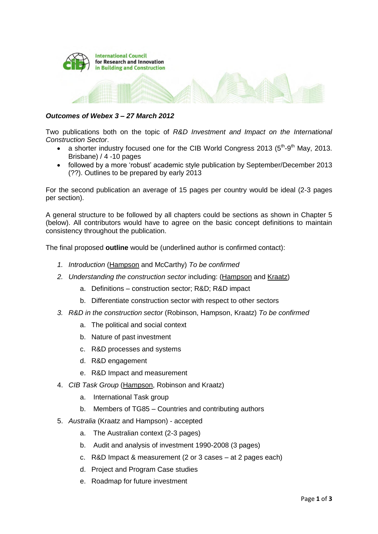

## *Outcomes of Webex 3 – 27 March 2012*

Two publications both on the topic of *R&D Investment and Impact on the International Construction Sector*.

- a shorter industry focused one for the CIB World Congress 2013 ( $5<sup>th</sup>$ -9<sup>th</sup> May, 2013. Brisbane) / 4 -10 pages
- followed by a more 'robust' academic style publication by September/December 2013 (??). Outlines to be prepared by early 2013

For the second publication an average of 15 pages per country would be ideal (2-3 pages per section).

A general structure to be followed by all chapters could be sections as shown in Chapter 5 (below). All contributors would have to agree on the basic concept definitions to maintain consistency throughout the publication.

The final proposed **outline** would be (underlined author is confirmed contact):

- *1. Introduction* (Hampson and McCarthy) *To be confirmed*
- *2. Understanding the construction sector* including: (Hampson and Kraatz)
	- a. Definitions construction sector; R&D; R&D impact
	- b. Differentiate construction sector with respect to other sectors
- *3. R&D in the construction sector* (Robinson, Hampson, Kraatz) *To be confirmed*
	- a. The political and social context
	- b. Nature of past investment
	- c. R&D processes and systems
	- d. R&D engagement
	- e. R&D Impact and measurement
- 4. *CIB Task Group* (Hampson, Robinson and Kraatz)
	- a. International Task group
	- b. Members of TG85 Countries and contributing authors
- 5. *Australia* (Kraatz and Hampson) accepted
	- a. The Australian context (2-3 pages)
	- b. Audit and analysis of investment 1990-2008 (3 pages)
	- c. R&D Impact & measurement (2 or 3 cases at 2 pages each)
	- d. Project and Program Case studies
	- e. Roadmap for future investment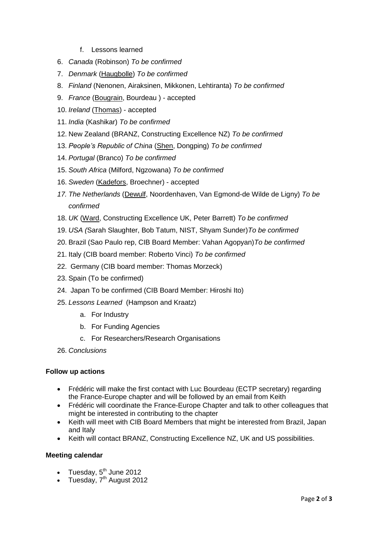- f. Lessons learned
- 6. *Canada* (Robinson) *To be confirmed*
- 7. *Denmark* (Haugbolle) *To be confirmed*
- 8. *Finland* (Nenonen, Airaksinen, Mikkonen, Lehtiranta) *To be confirmed*
- 9. *France* (Bougrain, Bourdeau ) accepted
- 10. *Ireland* (Thomas) accepted
- 11. *India* (Kashikar) *To be confirmed*
- 12. New Zealand (BRANZ, Constructing Excellence NZ) *To be confirmed*
- 13. *People's Republic of China* (Shen, Dongping) *To be confirmed*
- 14. *Portugal* (Branco) *To be confirmed*
- 15. *South Africa* (Milford, Ngzowana) *To be confirmed*
- 16. *Sweden* (Kadefors, Broechner) accepted
- *17. The Netherlands* (Dewulf, Noordenhaven, Van Egmond-de Wilde de Ligny) *To be confirmed*
- 18. *UK* (Ward, Constructing Excellence UK, Peter Barrett) *To be confirmed*
- 19. *USA (*Sarah Slaughter, Bob Tatum, NIST, Shyam Sunder)*To be confirmed*
- 20. Brazil (Sao Paulo rep, CIB Board Member: Vahan Agopyan)*To be confirmed*
- 21. Italy (CIB board member: Roberto Vinci) *To be confirmed*
- 22. Germany (CIB board member: Thomas Morzeck)
- 23. Spain (To be confirmed)
- 24. Japan To be confirmed (CIB Board Member: Hiroshi Ito)
- 25. *Lessons Learned* (Hampson and Kraatz)
	- a. For Industry
	- b. For Funding Agencies
	- c. For Researchers/Research Organisations
- 26. *Conclusions*

## **Follow up actions**

- Frédéric will make the first contact with Luc Bourdeau (ECTP secretary) regarding the France-Europe chapter and will be followed by an email from Keith
- Frédéric will coordinate the France-Europe Chapter and talk to other colleagues that might be interested in contributing to the chapter
- Keith will meet with CIB Board Members that might be interested from Brazil, Japan and Italy
- Keith will contact BRANZ, Constructing Excellence NZ, UK and US possibilities.

## **Meeting calendar**

- Tuesday, 5<sup>th</sup> June 2012
- Tuesday,  $7<sup>th</sup>$  August 2012